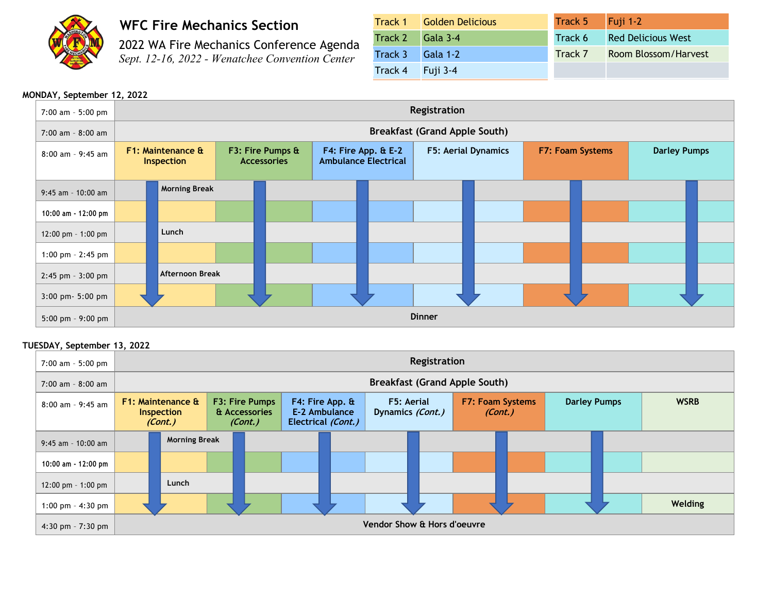

# **WFC Fire Mechanics Section**

2022 WA Fire Mechanics Conference Agenda *Sept. 12-16, 2022 - Wenatchee Convention Center*

|                  | <b>Track 1 Golden Delicious</b> | Track 5 | $\vert$ Fuji 1-2          |
|------------------|---------------------------------|---------|---------------------------|
| Track 2 Gala 3-4 |                                 | Track 6 | <b>Red Delicious West</b> |
| Track 3 Gala 1-2 |                                 | Track 7 | Room Blossom/Harvest      |
| Track 4 Fuji 3-4 |                                 |         |                           |

# **MONDAY, September 12, 2022**

| 7:00 am - 5:00 pm     | Registration                    |                                      |  |                                        |  |                                                    |                            |  |                  |  |                     |  |
|-----------------------|---------------------------------|--------------------------------------|--|----------------------------------------|--|----------------------------------------------------|----------------------------|--|------------------|--|---------------------|--|
| 7:00 am - 8:00 am     |                                 | <b>Breakfast (Grand Apple South)</b> |  |                                        |  |                                                    |                            |  |                  |  |                     |  |
| $8:00$ am - 9:45 am   | F1: Maintenance &<br>Inspection |                                      |  | F3: Fire Pumps &<br><b>Accessories</b> |  | F4: Fire App. & E-2<br><b>Ambulance Electrical</b> | <b>F5: Aerial Dynamics</b> |  | F7: Foam Systems |  | <b>Darley Pumps</b> |  |
| 9:45 am - 10:00 am    |                                 | <b>Morning Break</b>                 |  |                                        |  |                                                    |                            |  |                  |  |                     |  |
| 10:00 am - 12:00 pm   |                                 |                                      |  |                                        |  |                                                    |                            |  |                  |  |                     |  |
| 12:00 pm - 1:00 pm    |                                 | Lunch                                |  |                                        |  |                                                    |                            |  |                  |  |                     |  |
| 1:00 pm $-$ 2:45 pm   |                                 |                                      |  |                                        |  |                                                    |                            |  |                  |  |                     |  |
| $2:45$ pm - $3:00$ pm |                                 | Afternoon Break                      |  |                                        |  |                                                    |                            |  |                  |  |                     |  |
| $3:00$ pm $-5:00$ pm  |                                 |                                      |  |                                        |  |                                                    |                            |  |                  |  |                     |  |
| 5:00 pm $-9:00$ pm    |                                 | <b>Dinner</b>                        |  |                                        |  |                                                    |                            |  |                  |  |                     |  |

## **TUESDAY, September 13, 2022**

| 7:00 am - 5:00 pm                    | Registration                                                                             |                      |                                                                   |  |                                |  |                             |  |                     |             |  |         |
|--------------------------------------|------------------------------------------------------------------------------------------|----------------------|-------------------------------------------------------------------|--|--------------------------------|--|-----------------------------|--|---------------------|-------------|--|---------|
| $7:00$ am - 8:00 am                  | <b>Breakfast (Grand Apple South)</b>                                                     |                      |                                                                   |  |                                |  |                             |  |                     |             |  |         |
| $8:00$ am - 9:45 am                  | F1: Maintenance &<br>F3: Fire Pumps<br>& Accessories<br>Inspection<br>(Cont.)<br>(Cont.) |                      | $F4$ : Fire App. $\hat{a}$<br>E-2 Ambulance<br>Electrical (Cont.) |  | F5: Aerial<br>Dynamics (Cont.) |  | F7: Foam Systems<br>(Cont.) |  | <b>Darley Pumps</b> | <b>WSRB</b> |  |         |
| $9:45$ am - 10:00 am                 |                                                                                          | <b>Morning Break</b> |                                                                   |  |                                |  |                             |  |                     |             |  |         |
| 10:00 am - 12:00 pm                  |                                                                                          |                      |                                                                   |  |                                |  |                             |  |                     |             |  |         |
| $12:00 \text{ pm} - 1:00 \text{ pm}$ |                                                                                          | Lunch                |                                                                   |  |                                |  |                             |  |                     |             |  |         |
| 1:00 pm $-$ 4:30 pm                  |                                                                                          |                      |                                                                   |  |                                |  |                             |  |                     |             |  | Welding |
| 4:30 pm $-7:30$ pm                   | Vendor Show & Hors d'oeuvre                                                              |                      |                                                                   |  |                                |  |                             |  |                     |             |  |         |